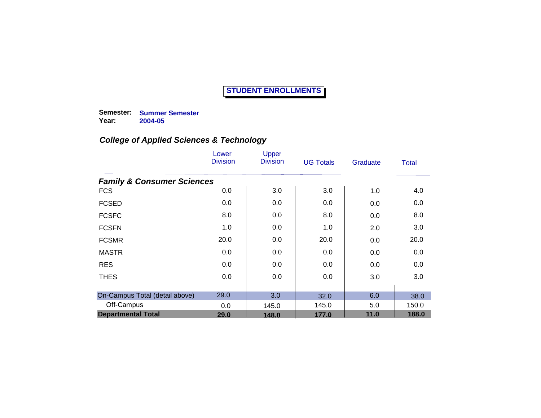**Semester: Summer Semester Year: 2004-05**

|                                       | Lower<br><b>Division</b> | Upper<br><b>Division</b> | <b>UG Totals</b> | Graduate | <b>Total</b> |
|---------------------------------------|--------------------------|--------------------------|------------------|----------|--------------|
| <b>Family &amp; Consumer Sciences</b> |                          |                          |                  |          |              |
| <b>FCS</b>                            | 0.0                      | 3.0                      | 3.0              | 1.0      | 4.0          |
| <b>FCSED</b>                          | 0.0                      | 0.0                      | 0.0              | 0.0      | 0.0          |
| <b>FCSFC</b>                          | 8.0                      | 0.0                      | 8.0              | 0.0      | 8.0          |
| <b>FCSFN</b>                          | 1.0                      | 0.0                      | 1.0              | 2.0      | 3.0          |
| <b>FCSMR</b>                          | 20.0                     | 0.0                      | 20.0             | 0.0      | 20.0         |
| <b>MASTR</b>                          | 0.0                      | 0.0                      | 0.0              | 0.0      | 0.0          |
| <b>RES</b>                            | 0.0                      | 0.0                      | 0.0              | 0.0      | 0.0          |
| <b>THES</b>                           | 0.0                      | 0.0                      | 0.0              | 3.0      | 3.0          |
| On-Campus Total (detail above)        | 29.0                     | 3.0                      | 32.0             | 6.0      | 38.0         |
| Off-Campus                            | 0.0                      | 145.0                    | 145.0            | 5.0      | 150.0        |
| <b>Departmental Total</b>             | 29.0                     | 148.0                    | 177.0            | 11.0     | 188.0        |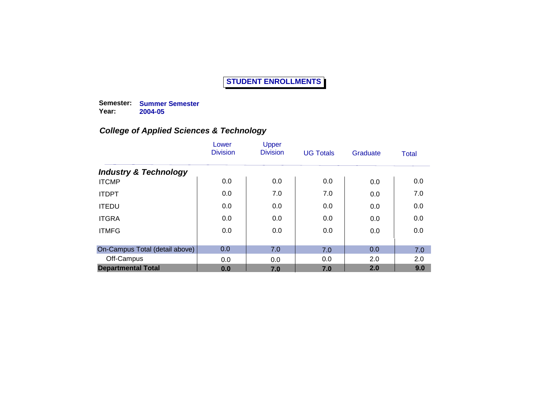**Semester: Summer Semester Year: 2004-05**

|                                  | Lower<br><b>Division</b> | Upper<br><b>Division</b> | <b>UG Totals</b> | Graduate | Total |
|----------------------------------|--------------------------|--------------------------|------------------|----------|-------|
| <b>Industry &amp; Technology</b> |                          |                          |                  |          |       |
| <b>ITCMP</b>                     | 0.0                      | 0.0                      | 0.0              | 0.0      | 0.0   |
| <b>ITDPT</b>                     | 0.0                      | 7.0                      | 7.0              | 0.0      | 7.0   |
| <b>ITEDU</b>                     | 0.0                      | 0.0                      | 0.0              | 0.0      | 0.0   |
| <b>ITGRA</b>                     | 0.0                      | 0.0                      | 0.0              | 0.0      | 0.0   |
| <b>ITMFG</b>                     | 0.0                      | 0.0                      | 0.0              | 0.0      | 0.0   |
| On-Campus Total (detail above)   | 0.0                      | 7.0                      |                  | 0.0      |       |
|                                  |                          |                          | 7.0              |          | 7.0   |
| Off-Campus                       | 0.0                      | 0.0                      | 0.0              | 2.0      | 2.0   |
| <b>Departmental Total</b>        | 0.0                      | 7.0                      | 7.0              | 2.0      | 9.0   |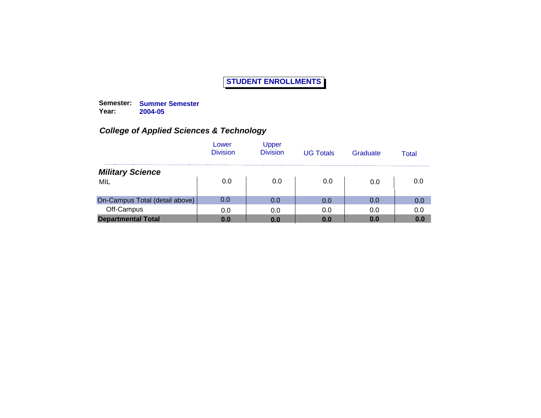**Semester: Summer Semester Year: 2004-05**

|                                | Lower<br><b>Division</b> | Upper<br><b>Division</b> | <b>UG Totals</b> | Graduate | Total |
|--------------------------------|--------------------------|--------------------------|------------------|----------|-------|
| <b>Military Science</b>        |                          |                          |                  |          |       |
| MIL                            | 0.0                      | 0.0                      | 0.0              | 0.0      | 0.0   |
| On-Campus Total (detail above) | 0.0                      | 0.0                      | 0.0              | 0.0      | 0.0   |
| Off-Campus                     | 0.0                      | 0.0                      | 0.0              | 0.0      | 0.0   |
| <b>Departmental Total</b>      | 0.0                      | 0.0                      | 0.0              | 0.0      | 0.0   |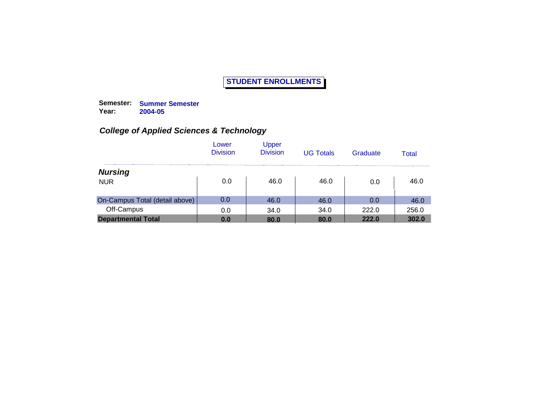**Semester: Summer Semester Year: 2004-05**

|                                | Lower<br><b>Division</b> | Upper<br><b>Division</b> | <b>UG Totals</b> | Graduate | Total |
|--------------------------------|--------------------------|--------------------------|------------------|----------|-------|
| <b>Nursing</b>                 |                          |                          |                  |          |       |
| <b>NUR</b>                     | 0.0                      | 46.0                     | 46.0             | 0.0      | 46.0  |
| On-Campus Total (detail above) | 0.0                      | 46.0                     | 46.0             | 0.0      | 46.0  |
| Off-Campus                     | 0.0                      | 34.0                     | 34.0             | 222.0    | 256.0 |
| <b>Departmental Total</b>      | 0.0                      | 80.0                     | 80.0             | 222.0    | 302.0 |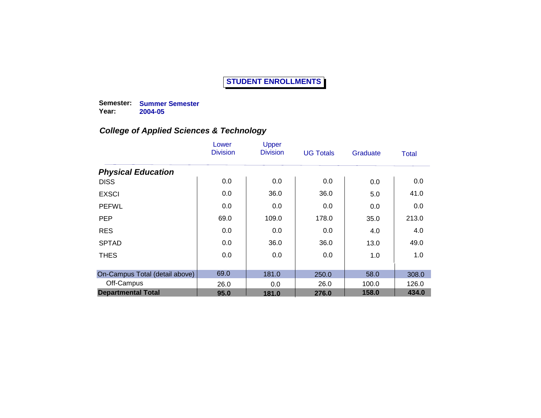**Semester: Summer Semester Year: 2004-05**

|                                | Lower<br><b>Division</b> | Upper<br><b>Division</b> | <b>UG Totals</b> | Graduate | Total |
|--------------------------------|--------------------------|--------------------------|------------------|----------|-------|
| <b>Physical Education</b>      |                          |                          |                  |          |       |
| <b>DISS</b>                    | 0.0                      | 0.0                      | 0.0              | 0.0      | 0.0   |
| <b>EXSCI</b>                   | 0.0                      | 36.0                     | 36.0             | 5.0      | 41.0  |
| <b>PEFWL</b>                   | 0.0                      | 0.0                      | 0.0              | 0.0      | 0.0   |
| <b>PEP</b>                     | 69.0                     | 109.0                    | 178.0            | 35.0     | 213.0 |
| <b>RES</b>                     | 0.0                      | 0.0                      | 0.0              | 4.0      | 4.0   |
| <b>SPTAD</b>                   | 0.0                      | 36.0                     | 36.0             | 13.0     | 49.0  |
| <b>THES</b>                    | 0.0                      | 0.0                      | 0.0              | 1.0      | 1.0   |
|                                |                          |                          |                  |          |       |
| On-Campus Total (detail above) | 69.0                     | 181.0                    | 250.0            | 58.0     | 308.0 |
| Off-Campus                     | 26.0                     | 0.0                      | 26.0             | 100.0    | 126.0 |
| <b>Departmental Total</b>      | 95.0                     | 181.0                    | 276.0            | 158.0    | 434.0 |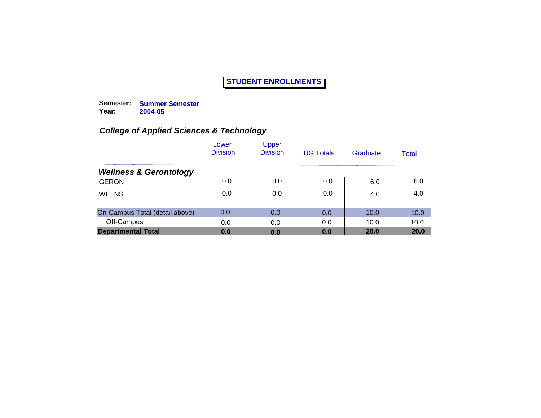**Semester: Summer Semester Year: 2004-05**

|                                   | Lower<br><b>Division</b> | Upper<br><b>Division</b> | <b>UG Totals</b> | Graduate | Total |
|-----------------------------------|--------------------------|--------------------------|------------------|----------|-------|
| <b>Wellness &amp; Gerontology</b> |                          |                          |                  |          |       |
| <b>GERON</b>                      | 0.0                      | 0.0                      | 0.0              | 6.0      | 6.0   |
| <b>WELNS</b>                      | 0.0                      | 0.0                      | 0.0              | 4.0      | 4.0   |
| On-Campus Total (detail above)    | 0.0                      | 0.0                      | 0.0              | 10.0     | 10.0  |
| Off-Campus                        | 0.0                      | 0.0                      | 0.0              | 10.0     | 10.0  |
| <b>Departmental Total</b>         | 0.0                      | 0.0                      | 0.0              | 20.0     | 20.0  |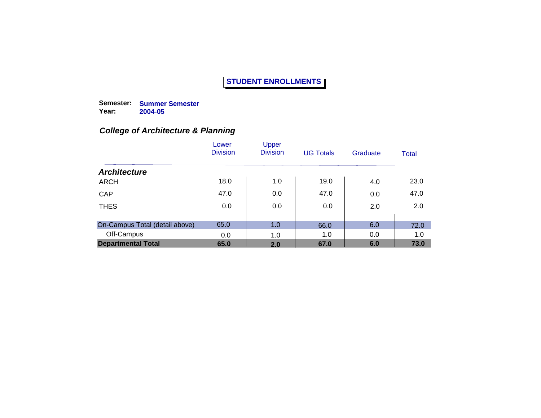**Semester: Summer Semester Year: 2004-05**

|                                | Lower<br><b>Division</b> | Upper<br><b>Division</b> | <b>UG Totals</b> | Graduate | Total |
|--------------------------------|--------------------------|--------------------------|------------------|----------|-------|
| <b>Architecture</b>            |                          |                          |                  |          |       |
| <b>ARCH</b>                    | 18.0                     | 1.0                      | 19.0             | 4.0      | 23.0  |
| CAP                            | 47.0                     | 0.0                      | 47.0             | 0.0      | 47.0  |
| <b>THES</b>                    | 0.0                      | 0.0                      | 0.0              | 2.0      | 2.0   |
| On-Campus Total (detail above) | 65.0                     | 1.0                      | 66.0             | 6.0      | 72.0  |
| Off-Campus                     | 0.0                      | 1.0                      | 1.0              | 0.0      | 1.0   |
| <b>Departmental Total</b>      | 65.0                     | 2.0                      | 67.0             | 6.0      | 73.0  |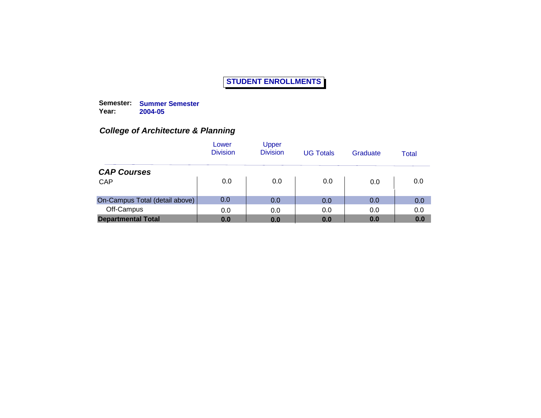**Semester: Summer Semester Year: 2004-05**

|                                | Lower<br><b>Division</b> | Upper<br><b>Division</b> | <b>UG Totals</b> | Graduate | Total |
|--------------------------------|--------------------------|--------------------------|------------------|----------|-------|
| <b>CAP Courses</b>             |                          |                          |                  |          |       |
| CAP                            | 0.0                      | 0.0                      | 0.0              | 0.0      | 0.0   |
| On-Campus Total (detail above) | 0.0                      | 0.0                      | 0.0              | 0.0      | 0.0   |
| Off-Campus                     | 0.0                      | 0.0                      | 0.0              | 0.0      | 0.0   |
| <b>Departmental Total</b>      | 0.0                      | 0.0                      | 0.0              | 0.0      | 0.0   |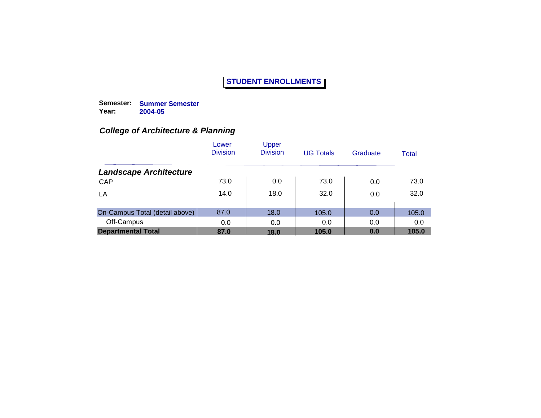**Semester: Summer Semester Year: 2004-05**

|                                | Lower<br><b>Division</b> | Upper<br><b>Division</b> | <b>UG Totals</b> | Graduate | Total |
|--------------------------------|--------------------------|--------------------------|------------------|----------|-------|
| <b>Landscape Architecture</b>  |                          |                          |                  |          |       |
| CAP                            | 73.0                     | 0.0                      | 73.0             | 0.0      | 73.0  |
| LA                             | 14.0                     | 18.0                     | 32.0             | 0.0      | 32.0  |
| On-Campus Total (detail above) | 87.0                     | 18.0                     | 105.0            | 0.0      | 105.0 |
| Off-Campus                     | 0.0                      | 0.0                      | 0.0              | 0.0      | 0.0   |
| <b>Departmental Total</b>      | 87.0                     | 18.0                     | 105.0            | 0.0      | 105.0 |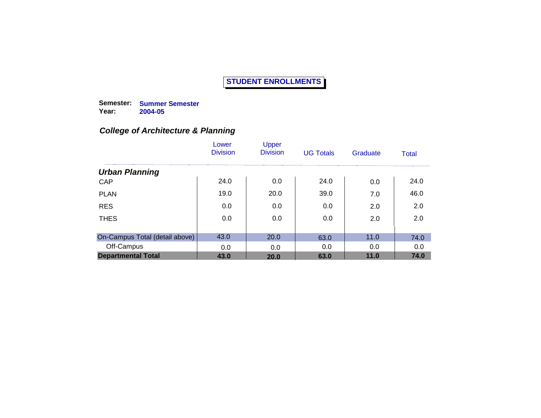**Semester: Summer Semester Year: 2004-05**

|                                | Lower<br><b>Division</b> | Upper<br><b>Division</b> | <b>UG Totals</b> | Graduate | Total |
|--------------------------------|--------------------------|--------------------------|------------------|----------|-------|
| <b>Urban Planning</b>          |                          |                          |                  |          |       |
| CAP                            | 24.0                     | 0.0                      | 24.0             | 0.0      | 24.0  |
| <b>PLAN</b>                    | 19.0                     | 20.0                     | 39.0             | 7.0      | 46.0  |
| <b>RES</b>                     | 0.0                      | 0.0                      | 0.0              | 2.0      | 2.0   |
| <b>THES</b>                    | 0.0                      | 0.0                      | 0.0              | 2.0      | 2.0   |
|                                |                          |                          |                  |          |       |
| On-Campus Total (detail above) | 43.0                     | 20.0                     | 63.0             | 11.0     | 74.0  |
| Off-Campus                     | 0.0                      | 0.0                      | 0.0              | 0.0      | 0.0   |
| <b>Departmental Total</b>      | 43.0                     | 20.0                     | 63.0             | 11.0     | 74.0  |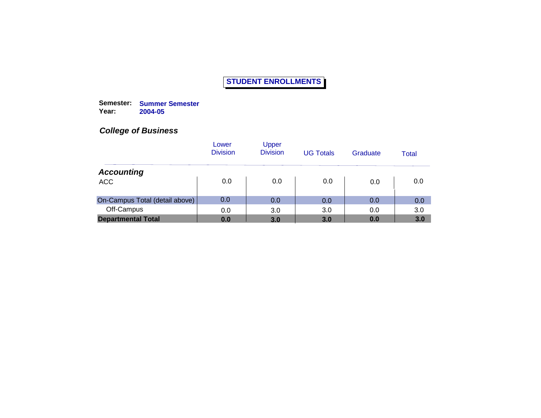**Semester: Summer Semester Year: 2004-05**

|                                | Lower<br><b>Division</b> | Upper<br><b>Division</b> | <b>UG Totals</b> | Graduate | Total |
|--------------------------------|--------------------------|--------------------------|------------------|----------|-------|
| <b>Accounting</b>              |                          |                          |                  |          |       |
| <b>ACC</b>                     | 0.0                      | 0.0                      | 0.0              | 0.0      | 0.0   |
| On-Campus Total (detail above) | 0.0                      | 0.0                      | 0.0              | 0.0      | 0.0   |
| Off-Campus                     | 0.0                      | 3.0                      | 3.0              | 0.0      | 3.0   |
| <b>Departmental Total</b>      | 0.0                      | 3.0                      | 3.0              | 0.0      | 3.0   |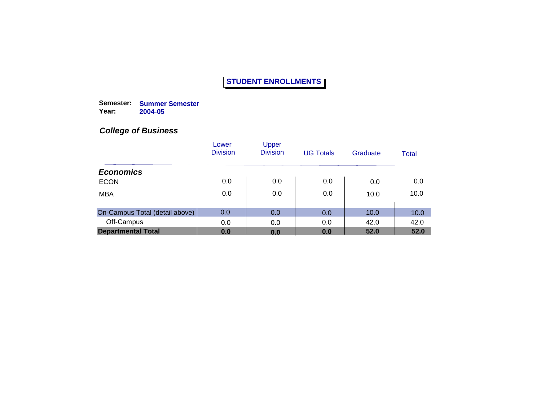**Semester: Summer Semester Year: 2004-05**

|                                | Lower<br><b>Division</b> | Upper<br><b>Division</b> | <b>UG Totals</b> | Graduate | Total |
|--------------------------------|--------------------------|--------------------------|------------------|----------|-------|
| <b>Economics</b>               |                          |                          |                  |          |       |
| <b>ECON</b>                    | 0.0                      | 0.0                      | 0.0              | 0.0      | 0.0   |
| <b>MBA</b>                     | 0.0                      | 0.0                      | 0.0              | 10.0     | 10.0  |
| On-Campus Total (detail above) | 0.0                      | 0.0                      | 0.0              | 10.0     | 10.0  |
| Off-Campus                     | 0.0                      | 0.0                      | 0.0              | 42.0     | 42.0  |
| <b>Departmental Total</b>      | 0.0                      | 0.0                      | 0.0              | 52.0     | 52.0  |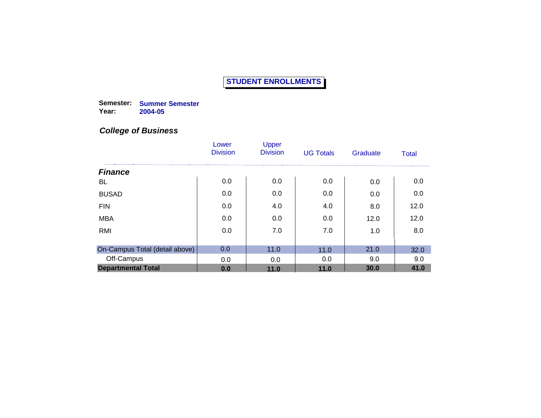**Semester: Summer Semester Year: 2004-05**

|                                | Lower<br><b>Division</b> | Upper<br><b>Division</b> | <b>UG Totals</b> | Graduate | <b>Total</b> |
|--------------------------------|--------------------------|--------------------------|------------------|----------|--------------|
| <b>Finance</b>                 |                          |                          |                  |          |              |
| <b>BL</b>                      | 0.0                      | 0.0                      | 0.0              | 0.0      | 0.0          |
| <b>BUSAD</b>                   | 0.0                      | 0.0                      | 0.0              | 0.0      | 0.0          |
| <b>FIN</b>                     | 0.0                      | 4.0                      | 4.0              | 8.0      | 12.0         |
| <b>MBA</b>                     | 0.0                      | 0.0                      | 0.0              | 12.0     | 12.0         |
| <b>RMI</b>                     | 0.0                      | 7.0                      | 7.0              | 1.0      | 8.0          |
|                                |                          |                          |                  |          |              |
| On-Campus Total (detail above) | 0.0                      | 11.0                     | 11.0             | 21.0     | 32.0         |
| Off-Campus                     | 0.0                      | 0.0                      | 0.0              | 9.0      | 9.0          |
| <b>Departmental Total</b>      | 0.0                      | 11.0                     | 11.0             | 30.0     | 41.0         |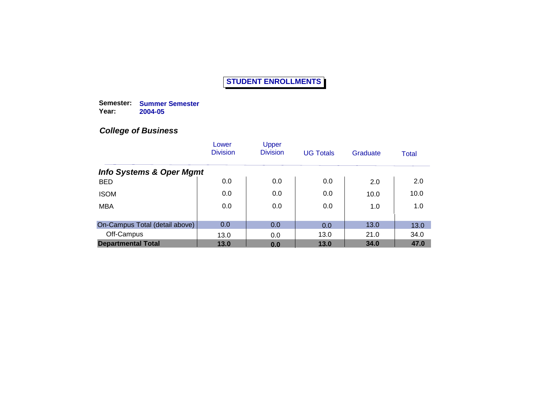**Semester: Summer Semester Year: 2004-05**

|                                     | Lower<br><b>Division</b> | Upper<br><b>Division</b> | <b>UG Totals</b> | Graduate | Total |
|-------------------------------------|--------------------------|--------------------------|------------------|----------|-------|
| <b>Info Systems &amp; Oper Mgmt</b> |                          |                          |                  |          |       |
| <b>BED</b>                          | 0.0                      | 0.0                      | 0.0              | 2.0      | 2.0   |
| <b>ISOM</b>                         | 0.0                      | 0.0                      | 0.0              | 10.0     | 10.0  |
| <b>MBA</b>                          | 0.0                      | 0.0                      | 0.0              | 1.0      | 1.0   |
|                                     |                          |                          |                  |          |       |
| On-Campus Total (detail above)      | 0.0                      | 0.0                      | 0.0              | 13.0     | 13.0  |
| Off-Campus                          | 13.0                     | 0.0                      | 13.0             | 21.0     | 34.0  |
| <b>Departmental Total</b>           | 13.0                     | 0.0                      | 13.0             | 34.0     | 47.0  |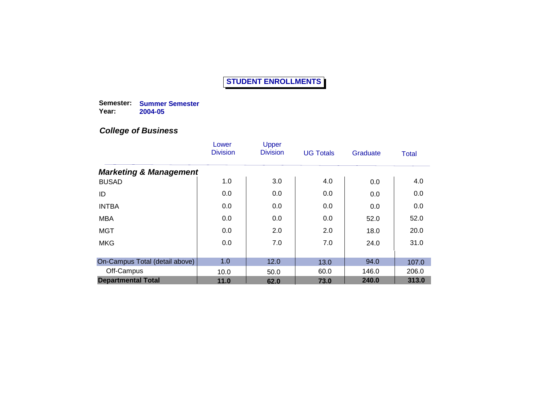**Semester: Summer Semester Year: 2004-05**

|                                   | Lower<br><b>Division</b> | Upper<br><b>Division</b> | <b>UG Totals</b> | Graduate | Total |
|-----------------------------------|--------------------------|--------------------------|------------------|----------|-------|
| <b>Marketing &amp; Management</b> |                          |                          |                  |          |       |
| <b>BUSAD</b>                      | 1.0                      | 3.0                      | 4.0              | 0.0      | 4.0   |
| ID                                | 0.0                      | 0.0                      | 0.0              | 0.0      | 0.0   |
| <b>INTBA</b>                      | 0.0                      | 0.0                      | 0.0              | 0.0      | 0.0   |
| <b>MBA</b>                        | 0.0                      | 0.0                      | 0.0              | 52.0     | 52.0  |
| <b>MGT</b>                        | 0.0                      | 2.0                      | 2.0              | 18.0     | 20.0  |
| <b>MKG</b>                        | 0.0                      | 7.0                      | 7.0              | 24.0     | 31.0  |
| On-Campus Total (detail above)    | 1.0                      | 12.0                     | 13.0             | 94.0     | 107.0 |
| Off-Campus                        | 10.0                     | 50.0                     | 60.0             | 146.0    | 206.0 |
| <b>Departmental Total</b>         | 11.0                     | 62.0                     | 73.0             | 240.0    | 313.0 |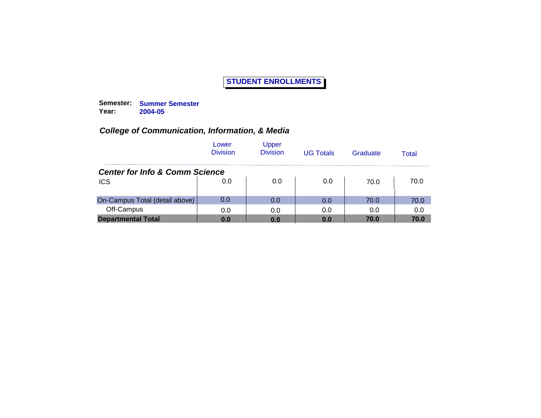**Semester: Summer Semester Year: 2004-05**

|                                           | Lower<br><b>Division</b> | Upper<br><b>Division</b> | <b>UG Totals</b> | Graduate | Total |
|-------------------------------------------|--------------------------|--------------------------|------------------|----------|-------|
| <b>Center for Info &amp; Comm Science</b> |                          |                          |                  |          |       |
| <b>ICS</b>                                | 0.0                      | 0.0                      | 0.0              | 70.0     | 70.0  |
| On-Campus Total (detail above)            | 0.0                      | 0.0                      | 0.0              | 70.0     | 70.0  |
| Off-Campus                                | 0.0                      | 0.0                      | 0.0              | 0.0      | 0.0   |
| <b>Departmental Total</b>                 | 0.0                      | 0.0                      | 0.0              | 70.0     | 70.0  |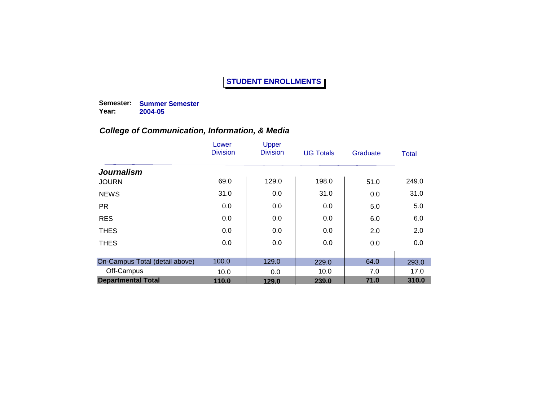**Semester: Summer Semester Year: 2004-05**

|                                | Lower<br><b>Division</b> | Upper<br><b>Division</b> | <b>UG Totals</b> | Graduate | Total |
|--------------------------------|--------------------------|--------------------------|------------------|----------|-------|
| <b>Journalism</b>              |                          |                          |                  |          |       |
| <b>JOURN</b>                   | 69.0                     | 129.0                    | 198.0            | 51.0     | 249.0 |
| <b>NEWS</b>                    | 31.0                     | 0.0                      | 31.0             | 0.0      | 31.0  |
| <b>PR</b>                      | 0.0                      | 0.0                      | 0.0              | 5.0      | 5.0   |
| <b>RES</b>                     | 0.0                      | 0.0                      | 0.0              | 6.0      | 6.0   |
| <b>THES</b>                    | 0.0                      | 0.0                      | 0.0              | 2.0      | 2.0   |
| <b>THES</b>                    | 0.0                      | 0.0                      | 0.0              | 0.0      | 0.0   |
| On-Campus Total (detail above) | 100.0                    | 129.0                    | 229.0            | 64.0     | 293.0 |
| Off-Campus                     | 10.0                     | 0.0                      | 10.0             | 7.0      | 17.0  |
| <b>Departmental Total</b>      | 110.0                    | 129.0                    | 239.0            | 71.0     | 310.0 |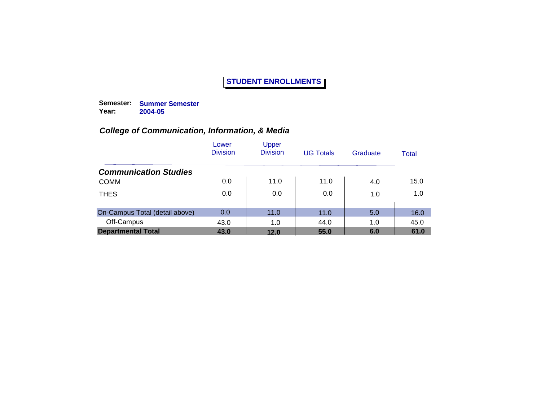**Semester: Summer Semester Year: 2004-05**

|                                | Lower<br><b>Division</b> | Upper<br><b>Division</b> | <b>UG Totals</b> | Graduate | Total |
|--------------------------------|--------------------------|--------------------------|------------------|----------|-------|
| <b>Communication Studies</b>   |                          |                          |                  |          |       |
| <b>COMM</b>                    | 0.0                      | 11.0                     | 11.0             | 4.0      | 15.0  |
| <b>THES</b>                    | 0.0                      | 0.0                      | 0.0              | 1.0      | 1.0   |
| On-Campus Total (detail above) | 0.0                      | 11.0                     | 11.0             | 5.0      | 16.0  |
| Off-Campus                     | 43.0                     | 1.0                      | 44.0             | 1.0      | 45.0  |
| <b>Departmental Total</b>      | 43.0                     | 12.0                     | 55.0             | 6.0      | 61.0  |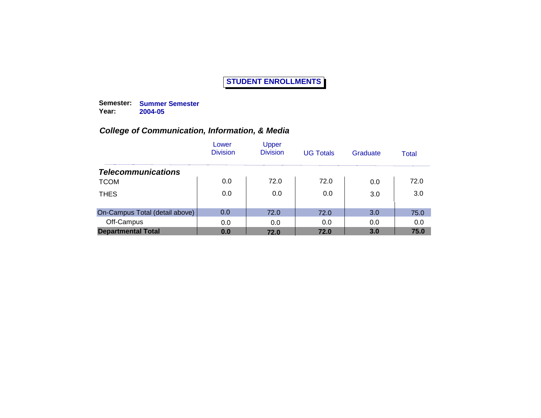**Semester: Summer Semester Year: 2004-05**

|                                | Lower<br><b>Division</b> | Upper<br><b>Division</b> | <b>UG Totals</b> | Graduate | Total |
|--------------------------------|--------------------------|--------------------------|------------------|----------|-------|
| <b>Telecommunications</b>      |                          |                          |                  |          |       |
| <b>TCOM</b>                    | 0.0                      | 72.0                     | 72.0             | 0.0      | 72.0  |
| <b>THES</b>                    | 0.0                      | 0.0                      | 0.0              | 3.0      | 3.0   |
| On-Campus Total (detail above) | 0.0                      | 72.0                     | 72.0             | 3.0      | 75.0  |
| Off-Campus                     | 0.0                      | 0.0                      | 0.0              | 0.0      | 0.0   |
| <b>Departmental Total</b>      | 0.0                      | 72.0                     | 72.0             | 3.0      | 75.0  |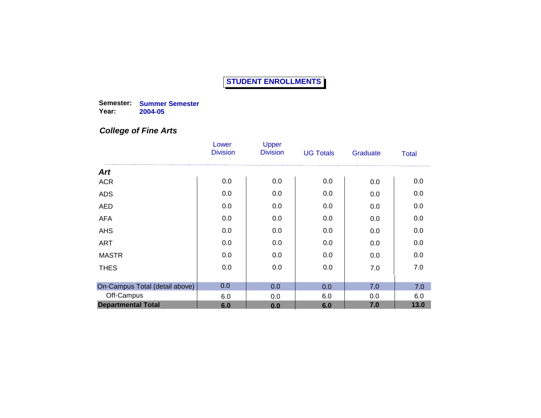**Semester: Summer Semester Year: 2004-05**

## *College of Fine Arts*

|                                | Lower           | Upper           |                  |          |              |
|--------------------------------|-----------------|-----------------|------------------|----------|--------------|
|                                | <b>Division</b> | <b>Division</b> | <b>UG Totals</b> | Graduate | <b>Total</b> |
| <b>Art</b>                     |                 |                 |                  |          |              |
| <b>ACR</b>                     | 0.0             | 0.0             | 0.0              | 0.0      | 0.0          |
| <b>ADS</b>                     | 0.0             | 0.0             | 0.0              | 0.0      | 0.0          |
| <b>AED</b>                     | 0.0             | 0.0             | 0.0              | 0.0      | 0.0          |
| <b>AFA</b>                     | 0.0             | 0.0             | 0.0              | 0.0      | 0.0          |
| <b>AHS</b>                     | 0.0             | 0.0             | 0.0              | 0.0      | 0.0          |
| <b>ART</b>                     | 0.0             | 0.0             | 0.0              | 0.0      | 0.0          |
| <b>MASTR</b>                   | 0.0             | 0.0             | 0.0              | 0.0      | 0.0          |
| <b>THES</b>                    | 0.0             | 0.0             | 0.0              | 7.0      | 7.0          |
| On-Campus Total (detail above) | 0.0             | 0.0             | 0.0              | 7.0      | 7.0          |
| Off-Campus                     | 6.0             | 0.0             | 6.0              | 0.0      | 6.0          |
| <b>Departmental Total</b>      | 6.0             | 0.0             | 6.0              | 7.0      | 13.0         |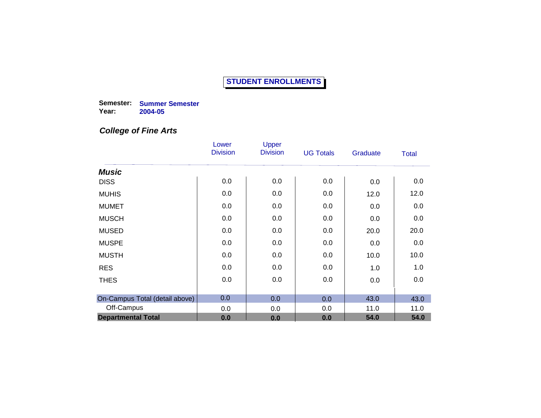**Semester: Summer Semester Year: 2004-05**

#### *College of Fine Arts*

|                                | Lower<br><b>Division</b> | Upper<br><b>Division</b> | <b>UG Totals</b> |          |              |
|--------------------------------|--------------------------|--------------------------|------------------|----------|--------------|
|                                |                          |                          |                  | Graduate | <b>Total</b> |
| <b>Music</b>                   |                          |                          |                  |          |              |
| <b>DISS</b>                    | 0.0                      | 0.0                      | 0.0              | 0.0      | 0.0          |
| <b>MUHIS</b>                   | 0.0                      | 0.0                      | 0.0              | 12.0     | 12.0         |
| <b>MUMET</b>                   | 0.0                      | 0.0                      | 0.0              | 0.0      | 0.0          |
| <b>MUSCH</b>                   | 0.0                      | 0.0                      | 0.0              | 0.0      | 0.0          |
| <b>MUSED</b>                   | 0.0                      | 0.0                      | 0.0              | 20.0     | 20.0         |
| <b>MUSPE</b>                   | 0.0                      | 0.0                      | 0.0              | 0.0      | 0.0          |
| <b>MUSTH</b>                   | 0.0                      | 0.0                      | 0.0              | 10.0     | 10.0         |
| <b>RES</b>                     | 0.0                      | 0.0                      | 0.0              | 1.0      | 1.0          |
| <b>THES</b>                    | 0.0                      | 0.0                      | 0.0              | 0.0      | 0.0          |
|                                |                          |                          |                  |          |              |
| On-Campus Total (detail above) | 0.0                      | 0.0                      | 0.0              | 43.0     | 43.0         |
| Off-Campus                     | 0.0                      | 0.0                      | 0.0              | 11.0     | 11.0         |
| <b>Departmental Total</b>      | 0.0                      | 0.0                      | 0.0              | 54.0     | 54.0         |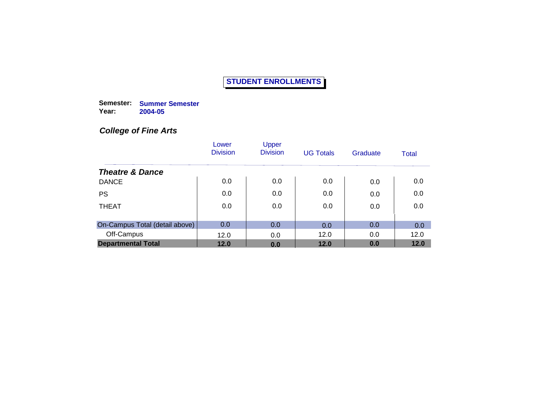**Semester: Summer Semester Year: 2004-05**

## *College of Fine Arts*

|                                | Lower<br><b>Division</b> | Upper<br><b>Division</b> | <b>UG Totals</b> | Graduate | Total |
|--------------------------------|--------------------------|--------------------------|------------------|----------|-------|
| <b>Theatre &amp; Dance</b>     |                          |                          |                  |          |       |
| <b>DANCE</b>                   | 0.0                      | 0.0                      | 0.0              | 0.0      | 0.0   |
| <b>PS</b>                      | 0.0                      | 0.0                      | 0.0              | 0.0      | 0.0   |
| <b>THEAT</b>                   | 0.0                      | 0.0                      | 0.0              | 0.0      | 0.0   |
| On-Campus Total (detail above) | 0.0                      | 0.0                      | 0.0              | 0.0      | 0.0   |
| Off-Campus                     | 12.0                     | 0.0                      | 12.0             | 0.0      | 12.0  |
| <b>Departmental Total</b>      | 12.0                     | 0.0                      | 12.0             | 0.0      | 12.0  |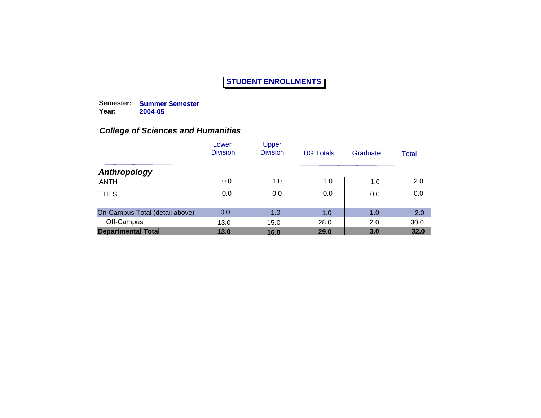**Semester: Summer Semester Year: 2004-05**

|                                | Lower<br><b>Division</b> | Upper<br><b>Division</b> | <b>UG Totals</b> | Graduate | Total |
|--------------------------------|--------------------------|--------------------------|------------------|----------|-------|
| Anthropology                   |                          |                          |                  |          |       |
| <b>ANTH</b>                    | 0.0                      | 1.0                      | 1.0              | 1.0      | 2.0   |
| <b>THES</b>                    | 0.0                      | 0.0                      | 0.0              | 0.0      | 0.0   |
| On-Campus Total (detail above) | 0.0                      | 1.0                      | 1.0              | 1.0      | 2.0   |
| Off-Campus                     | 13.0                     | 15.0                     | 28.0             | 2.0      | 30.0  |
| <b>Departmental Total</b>      | 13.0                     | 16.0                     | 29.0             | 3.0      | 32.0  |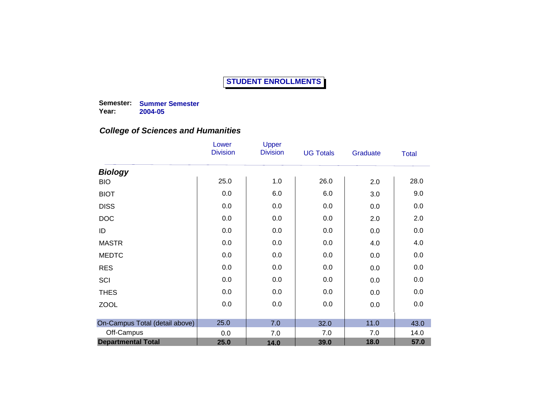**Semester: Summer Semester Year: 2004-05**

|                                | Lower<br><b>Division</b> | Upper<br><b>Division</b> | <b>UG Totals</b> | Graduate | <b>Total</b> |
|--------------------------------|--------------------------|--------------------------|------------------|----------|--------------|
| <b>Biology</b>                 |                          |                          |                  |          |              |
| <b>BIO</b>                     | 25.0                     | 1.0                      | 26.0             | 2.0      | 28.0         |
| <b>BIOT</b>                    | 0.0                      | 6.0                      | 6.0              | 3.0      | 9.0          |
| <b>DISS</b>                    | 0.0                      | 0.0                      | 0.0              | 0.0      | 0.0          |
| <b>DOC</b>                     | 0.0                      | 0.0                      | 0.0              | 2.0      | 2.0          |
| ID                             | 0.0                      | 0.0                      | 0.0              | 0.0      | 0.0          |
| <b>MASTR</b>                   | 0.0                      | 0.0                      | 0.0              | 4.0      | 4.0          |
| <b>MEDTC</b>                   | 0.0                      | 0.0                      | 0.0              | 0.0      | 0.0          |
| <b>RES</b>                     | 0.0                      | 0.0                      | 0.0              | 0.0      | 0.0          |
| SCI                            | 0.0                      | 0.0                      | 0.0              | 0.0      | 0.0          |
| <b>THES</b>                    | 0.0                      | 0.0                      | 0.0              | 0.0      | 0.0          |
| <b>ZOOL</b>                    | 0.0                      | 0.0                      | 0.0              | 0.0      | 0.0          |
|                                |                          |                          |                  |          |              |
| On-Campus Total (detail above) | 25.0                     | 7.0                      | 32.0             | 11.0     | 43.0         |
| Off-Campus                     | 0.0                      | 7.0                      | 7.0              | 7.0      | 14.0         |
| <b>Departmental Total</b>      | 25.0                     | 14.0                     | 39.0             | 18.0     | 57.0         |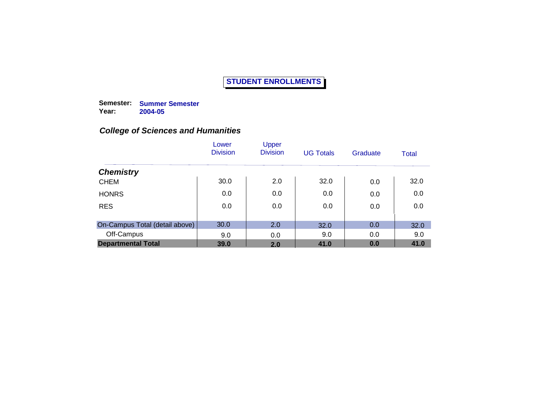**Semester: Summer Semester Year: 2004-05**

|                                | Lower<br><b>Division</b> | Upper<br><b>Division</b> | <b>UG Totals</b> | Graduate | Total |
|--------------------------------|--------------------------|--------------------------|------------------|----------|-------|
| <b>Chemistry</b>               |                          |                          |                  |          |       |
| <b>CHEM</b>                    | 30.0                     | 2.0                      | 32.0             | 0.0      | 32.0  |
| <b>HONRS</b>                   | 0.0                      | 0.0                      | 0.0              | 0.0      | 0.0   |
| <b>RES</b>                     | 0.0                      | 0.0                      | 0.0              | 0.0      | 0.0   |
| On-Campus Total (detail above) | 30.0                     | 2.0                      | 32.0             | 0.0      | 32.0  |
| Off-Campus                     | 9.0                      | 0.0                      | 9.0              | 0.0      | 9.0   |
| <b>Departmental Total</b>      | 39.0                     | 2.0                      | 41.0             | 0.0      | 41.0  |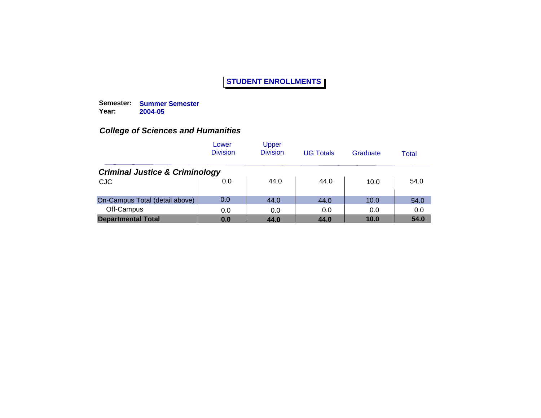**Semester: Summer Semester Year: 2004-05**

|                                           | Lower<br><b>Division</b> | Upper<br><b>Division</b> | <b>UG Totals</b> | Graduate | Total |
|-------------------------------------------|--------------------------|--------------------------|------------------|----------|-------|
| <b>Criminal Justice &amp; Criminology</b> |                          |                          |                  |          |       |
| <b>CJC</b>                                | 0.0                      | 44.0                     | 44.0             | 10.0     | 54.0  |
| On-Campus Total (detail above)            | 0.0                      | 44.0                     | 44.0             | 10.0     | 54.0  |
| Off-Campus                                | 0.0                      | 0.0                      | 0.0              | 0.0      | 0.0   |
| <b>Departmental Total</b>                 | 0.0                      | 44.0                     | 44.0             | 10.0     | 54.0  |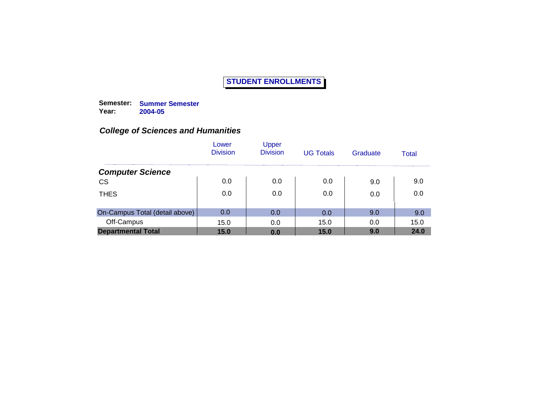**Semester: Summer Semester Year: 2004-05**

|                                | Lower<br><b>Division</b> | Upper<br><b>Division</b> | <b>UG Totals</b> | Graduate | Total |
|--------------------------------|--------------------------|--------------------------|------------------|----------|-------|
| <b>Computer Science</b>        |                          |                          |                  |          |       |
| <b>CS</b>                      | 0.0                      | 0.0                      | 0.0              | 9.0      | 9.0   |
| <b>THES</b>                    | 0.0                      | 0.0                      | 0.0              | 0.0      | 0.0   |
| On-Campus Total (detail above) | 0.0                      | 0.0                      | 0.0              | 9.0      | 9.0   |
| Off-Campus                     | 15.0                     | 0.0                      | 15.0             | 0.0      | 15.0  |
| <b>Departmental Total</b>      | 15.0                     | 0.0                      | 15.0             | 9.0      | 24.0  |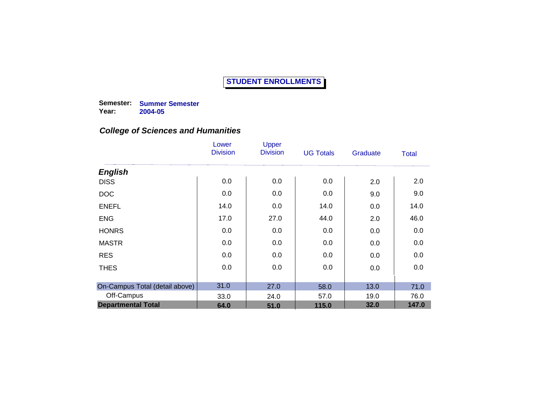**Semester: Summer Semester Year: 2004-05**

|                                | Lower<br><b>Division</b> | Upper<br><b>Division</b> | <b>UG Totals</b> | Graduate | <b>Total</b> |
|--------------------------------|--------------------------|--------------------------|------------------|----------|--------------|
| <b>English</b>                 |                          |                          |                  |          |              |
| <b>DISS</b>                    | 0.0                      | 0.0                      | 0.0              | 2.0      | 2.0          |
| <b>DOC</b>                     | 0.0                      | 0.0                      | 0.0              | 9.0      | 9.0          |
| <b>ENEFL</b>                   | 14.0                     | 0.0                      | 14.0             | 0.0      | 14.0         |
| <b>ENG</b>                     | 17.0                     | 27.0                     | 44.0             | 2.0      | 46.0         |
| <b>HONRS</b>                   | 0.0                      | 0.0                      | 0.0              | 0.0      | 0.0          |
| <b>MASTR</b>                   | 0.0                      | 0.0                      | 0.0              | 0.0      | 0.0          |
| <b>RES</b>                     | 0.0                      | 0.0                      | 0.0              | 0.0      | 0.0          |
| <b>THES</b>                    | 0.0                      | 0.0                      | 0.0              | 0.0      | 0.0          |
|                                |                          |                          |                  |          |              |
| On-Campus Total (detail above) | 31.0                     | 27.0                     | 58.0             | 13.0     | 71.0         |
| Off-Campus                     | 33.0                     | 24.0                     | 57.0             | 19.0     | 76.0         |
| <b>Departmental Total</b>      | 64.0                     | 51.0                     | 115.0            | 32.0     | 147.0        |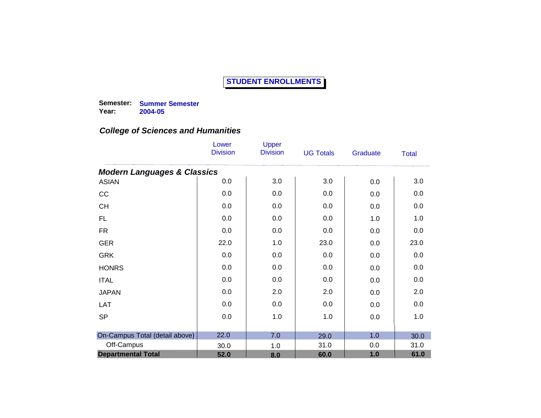**Semester: Summer Semester Year: 2004-05**

|                                        | Lower<br><b>Division</b> | Upper<br><b>Division</b> | <b>UG Totals</b> | Graduate | <b>Total</b> |
|----------------------------------------|--------------------------|--------------------------|------------------|----------|--------------|
| <b>Modern Languages &amp; Classics</b> |                          |                          |                  |          |              |
| <b>ASIAN</b>                           | 0.0                      | 3.0                      | 3.0              | 0.0      | 3.0          |
| CC                                     | 0.0                      | 0.0                      | 0.0              | 0.0      | 0.0          |
| <b>CH</b>                              | 0.0                      | 0.0                      | 0.0              | 0.0      | 0.0          |
| <b>FL</b>                              | 0.0                      | 0.0                      | 0.0              | 1.0      | 1.0          |
| <b>FR</b>                              | 0.0                      | 0.0                      | 0.0              | 0.0      | 0.0          |
| <b>GER</b>                             | 22.0                     | 1.0                      | 23.0             | 0.0      | 23.0         |
| <b>GRK</b>                             | 0.0                      | 0.0                      | 0.0              | 0.0      | 0.0          |
| <b>HONRS</b>                           | 0.0                      | 0.0                      | 0.0              | 0.0      | 0.0          |
| <b>ITAL</b>                            | 0.0                      | 0.0                      | 0.0              | 0.0      | 0.0          |
| <b>JAPAN</b>                           | 0.0                      | 2.0                      | 2.0              | 0.0      | 2.0          |
| LAT                                    | 0.0                      | 0.0                      | 0.0              | 0.0      | 0.0          |
| <b>SP</b>                              | 0.0                      | 1.0                      | 1.0              | 0.0      | 1.0          |
|                                        |                          |                          |                  |          |              |
| On-Campus Total (detail above)         | 22.0                     | 7.0                      | 29.0             | 1.0      | 30.0         |
| Off-Campus                             | 30.0                     | 1.0                      | 31.0             | 0.0      | 31.0         |
| <b>Departmental Total</b>              | 52.0                     | 8.0                      | 60.0             | 1.0      | 61.0         |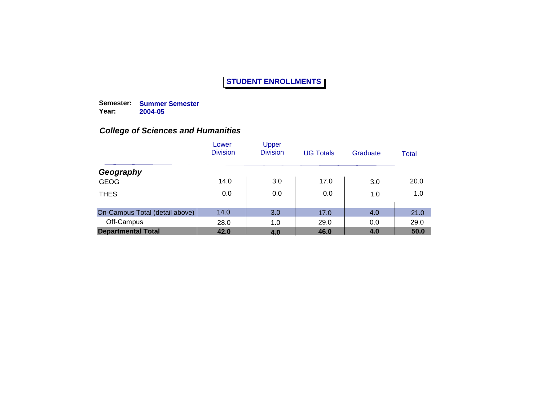**Semester: Summer Semester Year: 2004-05**

|                                | Lower<br><b>Division</b> | Upper<br><b>Division</b> | <b>UG Totals</b> | Graduate | Total |
|--------------------------------|--------------------------|--------------------------|------------------|----------|-------|
| Geography                      |                          |                          |                  |          |       |
| <b>GEOG</b>                    | 14.0                     | 3.0                      | 17.0             | 3.0      | 20.0  |
| <b>THES</b>                    | 0.0                      | 0.0                      | 0.0              | 1.0      | 1.0   |
| On-Campus Total (detail above) | 14.0                     | 3.0                      | 17.0             | 4.0      | 21.0  |
| Off-Campus                     | 28.0                     | 1.0                      | 29.0             | 0.0      | 29.0  |
| <b>Departmental Total</b>      | 42.0                     | 4.0                      | 46.0             | 4.0      | 50.0  |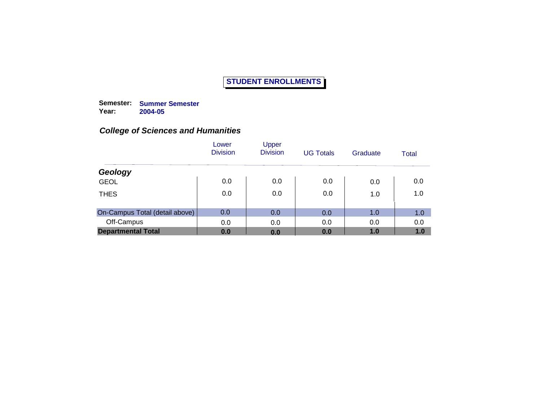**Semester: Summer Semester Year: 2004-05**

|                                | Lower<br><b>Division</b> | Upper<br><b>Division</b> | <b>UG Totals</b> | Graduate | Total |
|--------------------------------|--------------------------|--------------------------|------------------|----------|-------|
| Geology                        |                          |                          |                  |          |       |
| <b>GEOL</b>                    | 0.0                      | 0.0                      | 0.0              | 0.0      | 0.0   |
| <b>THES</b>                    | 0.0                      | 0.0                      | 0.0              | 1.0      | 1.0   |
| On-Campus Total (detail above) | 0.0                      | 0.0                      | 0.0              | 1.0      | 1.0   |
| Off-Campus                     | 0.0                      | 0.0                      | 0.0              | 0.0      | 0.0   |
| <b>Departmental Total</b>      | 0.0                      | 0.0                      | 0.0              | 1.0      | 1.0   |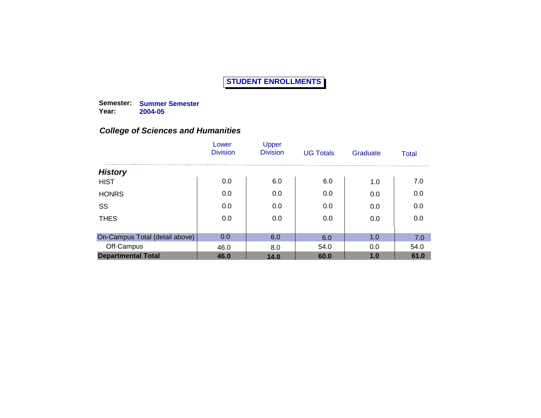**Semester: Summer Semester Year: 2004-05**

|                                | Lower<br><b>Division</b> | Upper<br><b>Division</b> | <b>UG Totals</b> | Graduate | <b>Total</b> |
|--------------------------------|--------------------------|--------------------------|------------------|----------|--------------|
| <b>History</b>                 |                          |                          |                  |          |              |
| <b>HIST</b>                    | 0.0                      | 6.0                      | 6.0              | 1.0      | 7.0          |
| <b>HONRS</b>                   | 0.0                      | 0.0                      | 0.0              | 0.0      | 0.0          |
| SS                             | 0.0                      | 0.0                      | 0.0              | 0.0      | 0.0          |
| <b>THES</b>                    | 0.0                      | 0.0                      | 0.0              | 0.0      | 0.0          |
|                                |                          |                          |                  |          |              |
| On-Campus Total (detail above) | 0.0                      | 6.0                      | 6.0              | 1.0      | 7.0          |
| Off-Campus                     | 46.0                     | 8.0                      | 54.0             | 0.0      | 54.0         |
| <b>Departmental Total</b>      | 46.0                     | 14.0                     | 60.0             | 1.0      | 61.0         |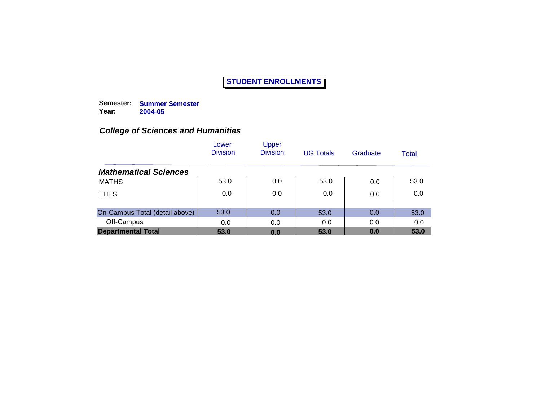**Semester: Summer Semester Year: 2004-05**

|                                | Lower<br><b>Division</b> | Upper<br><b>Division</b> | <b>UG Totals</b> | Graduate | Total |
|--------------------------------|--------------------------|--------------------------|------------------|----------|-------|
| <b>Mathematical Sciences</b>   |                          |                          |                  |          |       |
| <b>MATHS</b>                   | 53.0                     | 0.0                      | 53.0             | 0.0      | 53.0  |
| <b>THES</b>                    | 0.0                      | 0.0                      | 0.0              | 0.0      | 0.0   |
| On-Campus Total (detail above) | 53.0                     | 0.0                      | 53.0             | 0.0      | 53.0  |
| Off-Campus                     | 0.0                      | 0.0                      | 0.0              | 0.0      | 0.0   |
| <b>Departmental Total</b>      | 53.0                     | 0.0                      | 53.0             | 0.0      | 53.0  |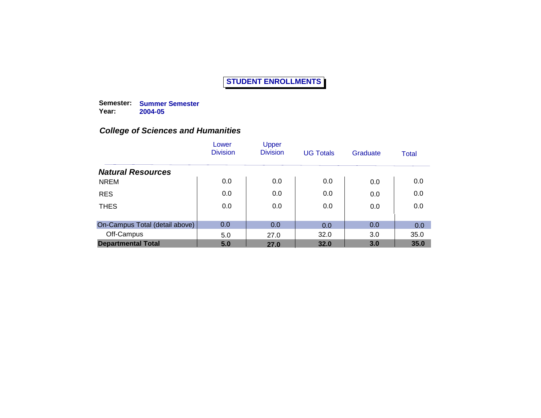**Semester: Summer Semester Year: 2004-05**

|                                | Lower<br><b>Division</b> | Upper<br><b>Division</b> | <b>UG Totals</b> | Graduate | Total |
|--------------------------------|--------------------------|--------------------------|------------------|----------|-------|
| <b>Natural Resources</b>       |                          |                          |                  |          |       |
| <b>NREM</b>                    | 0.0                      | 0.0                      | 0.0              | 0.0      | 0.0   |
| <b>RES</b>                     | 0.0                      | 0.0                      | 0.0              | 0.0      | 0.0   |
| <b>THES</b>                    | 0.0                      | 0.0                      | 0.0              | 0.0      | 0.0   |
| On-Campus Total (detail above) | 0.0                      | 0.0                      | 0.0              | 0.0      | 0.0   |
| Off-Campus                     | 5.0                      | 27.0                     | 32.0             | 3.0      | 35.0  |
| <b>Departmental Total</b>      | 5.0                      | 27.0                     | 32.0             | 3.0      | 35.0  |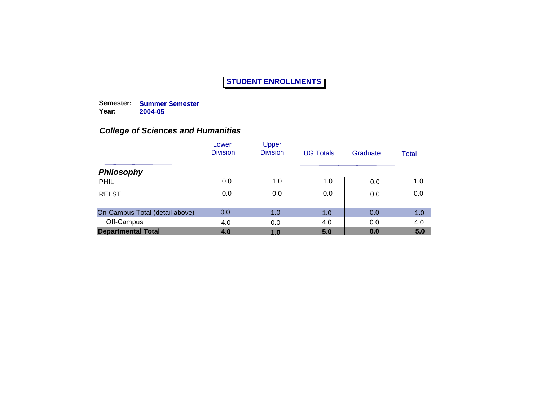**Semester: Summer Semester Year: 2004-05**

|                                | Lower<br><b>Division</b> | Upper<br><b>Division</b> | <b>UG Totals</b> | Graduate | Total |
|--------------------------------|--------------------------|--------------------------|------------------|----------|-------|
| <b>Philosophy</b>              |                          |                          |                  |          |       |
| PHIL                           | 0.0                      | 1.0                      | 1.0              | 0.0      | 1.0   |
| <b>RELST</b>                   | 0.0                      | 0.0                      | 0.0              | 0.0      | 0.0   |
| On-Campus Total (detail above) | 0.0                      | 1.0                      | 1.0              | 0.0      | 1.0   |
| Off-Campus                     | 4.0                      | 0.0                      | 4.0              | 0.0      | 4.0   |
| <b>Departmental Total</b>      | 4.0                      | 1.0                      | 5.0              | 0.0      | 5.0   |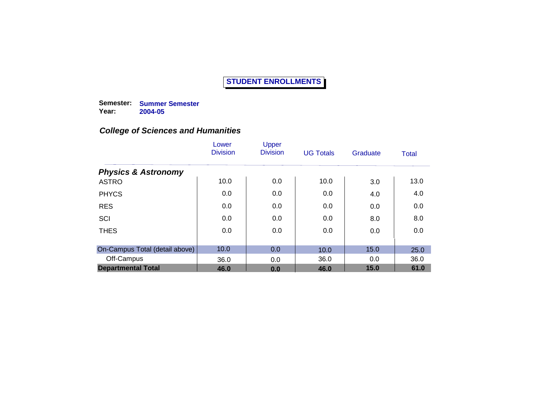**Semester: Summer Semester Year: 2004-05**

|                                | Lower<br><b>Division</b> | Upper<br><b>Division</b> | <b>UG Totals</b> | Graduate | Total |
|--------------------------------|--------------------------|--------------------------|------------------|----------|-------|
| <b>Physics &amp; Astronomy</b> |                          |                          |                  |          |       |
| <b>ASTRO</b>                   | 10.0                     | 0.0                      | 10.0             | 3.0      | 13.0  |
| <b>PHYCS</b>                   | 0.0                      | 0.0                      | 0.0              | 4.0      | 4.0   |
| <b>RES</b>                     | 0.0                      | 0.0                      | 0.0              | 0.0      | 0.0   |
| SCI                            | 0.0                      | 0.0                      | 0.0              | 8.0      | 8.0   |
| <b>THES</b>                    | 0.0                      | 0.0                      | 0.0              | 0.0      | 0.0   |
|                                |                          |                          |                  |          |       |
| On-Campus Total (detail above) | 10.0                     | 0.0                      | 10.0             | 15.0     | 25.0  |
| Off-Campus                     | 36.0                     | 0.0                      | 36.0             | 0.0      | 36.0  |
| <b>Departmental Total</b>      | 46.0                     | 0.0                      | 46.0             | 15.0     | 61.0  |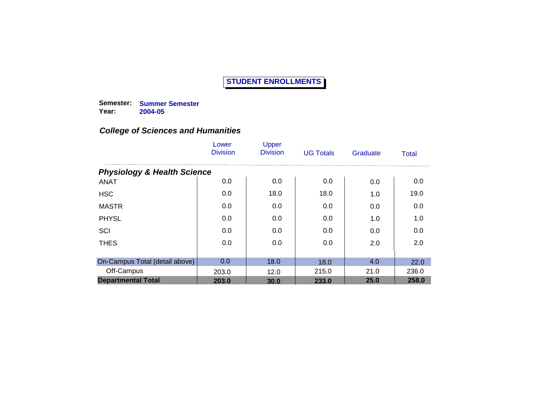**Semester: Summer Semester Year: 2004-05**

|                                        | Lower<br><b>Division</b> | Upper<br><b>Division</b> | <b>UG Totals</b> | Graduate | Total |
|----------------------------------------|--------------------------|--------------------------|------------------|----------|-------|
| <b>Physiology &amp; Health Science</b> |                          |                          |                  |          |       |
| <b>ANAT</b>                            | 0.0                      | 0.0                      | 0.0              | 0.0      | 0.0   |
| <b>HSC</b>                             | 0.0                      | 18.0                     | 18.0             | 1.0      | 19.0  |
| <b>MASTR</b>                           | 0.0                      | 0.0                      | 0.0              | 0.0      | 0.0   |
| <b>PHYSL</b>                           | 0.0                      | 0.0                      | 0.0              | 1.0      | 1.0   |
| SCI                                    | 0.0                      | 0.0                      | 0.0              | 0.0      | 0.0   |
| <b>THES</b>                            | 0.0                      | 0.0                      | 0.0              | 2.0      | 2.0   |
| On-Campus Total (detail above)         | 0.0                      | 18.0                     | 18.0             | 4.0      | 22.0  |
| Off-Campus                             | 203.0                    | 12.0                     | 215.0            | 21.0     | 236.0 |
| <b>Departmental Total</b>              | 203.0                    | 30.0                     | 233.0            | 25.0     | 258.0 |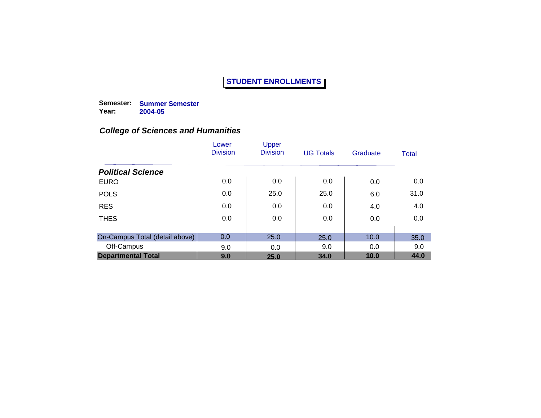**Semester: Summer Semester Year: 2004-05**

|                                | Lower<br><b>Division</b> | Upper<br><b>Division</b> | <b>UG Totals</b> | Graduate | Total |
|--------------------------------|--------------------------|--------------------------|------------------|----------|-------|
| <b>Political Science</b>       |                          |                          |                  |          |       |
| <b>EURO</b>                    | 0.0                      | 0.0                      | 0.0              | 0.0      | 0.0   |
| <b>POLS</b>                    | 0.0                      | 25.0                     | 25.0             | 6.0      | 31.0  |
| <b>RES</b>                     | 0.0                      | 0.0                      | 0.0              | 4.0      | 4.0   |
| <b>THES</b>                    | 0.0                      | 0.0                      | 0.0              | 0.0      | 0.0   |
|                                |                          |                          |                  |          |       |
| On-Campus Total (detail above) | 0.0                      | 25.0                     | 25.0             | 10.0     | 35.0  |
| Off-Campus                     | 9.0                      | 0.0                      | 9.0              | 0.0      | 9.0   |
| <b>Departmental Total</b>      | 9.0                      | 25.0                     | 34.0             | 10.0     | 44.0  |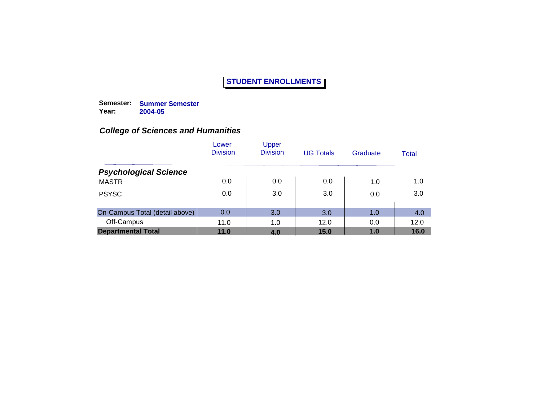**Semester: Summer Semester Year: 2004-05**

|                                | Lower<br><b>Division</b> | Upper<br><b>Division</b> | <b>UG Totals</b> | Graduate | Total |
|--------------------------------|--------------------------|--------------------------|------------------|----------|-------|
| <b>Psychological Science</b>   |                          |                          |                  |          |       |
| <b>MASTR</b>                   | 0.0                      | 0.0                      | 0.0              | 1.0      | 1.0   |
| <b>PSYSC</b>                   | 0.0                      | 3.0                      | 3.0              | 0.0      | 3.0   |
| On-Campus Total (detail above) | 0.0                      | 3.0                      | 3.0              | 1.0      | 4.0   |
| Off-Campus                     | 11.0                     | 1.0                      | 12.0             | 0.0      | 12.0  |
| <b>Departmental Total</b>      | 11.0                     | 4.0                      | 15.0             | 1.0      | 16.0  |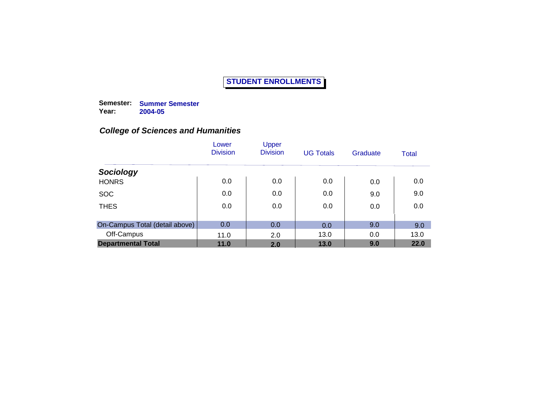**Semester: Summer Semester Year: 2004-05**

|                                | Lower<br><b>Division</b> | Upper<br><b>Division</b> | <b>UG Totals</b> | Graduate | Total |
|--------------------------------|--------------------------|--------------------------|------------------|----------|-------|
| Sociology                      |                          |                          |                  |          |       |
| <b>HONRS</b>                   | 0.0                      | 0.0                      | 0.0              | 0.0      | 0.0   |
| <b>SOC</b>                     | 0.0                      | 0.0                      | 0.0              | 9.0      | 9.0   |
| <b>THES</b>                    | 0.0                      | 0.0                      | 0.0              | 0.0      | 0.0   |
| On-Campus Total (detail above) | 0.0                      | 0.0                      | 0.0              | 9.0      | 9.0   |
| Off-Campus                     | 11.0                     | 2.0                      | 13.0             | 0.0      | 13.0  |
| <b>Departmental Total</b>      | 11.0                     | 2.0                      | 13.0             | 9.0      | 22.0  |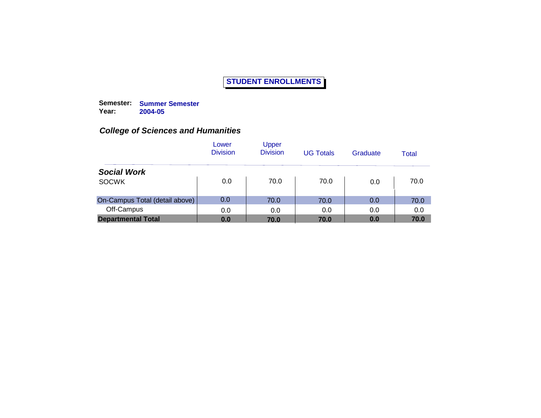**Semester: Summer Semester Year: 2004-05**

|                                | Lower<br><b>Division</b> | Upper<br><b>Division</b> | <b>UG Totals</b> | Graduate | Total |
|--------------------------------|--------------------------|--------------------------|------------------|----------|-------|
| <b>Social Work</b>             |                          |                          |                  |          |       |
| <b>SOCWK</b>                   | 0.0                      | 70.0                     | 70.0             | 0.0      | 70.0  |
| On-Campus Total (detail above) | 0.0                      | 70.0                     | 70.0             | 0.0      | 70.0  |
| Off-Campus                     | 0.0                      | 0.0                      | 0.0              | 0.0      | 0.0   |
| <b>Departmental Total</b>      | 0.0                      | 70.0                     | 70.0             | 0.0      | 70.0  |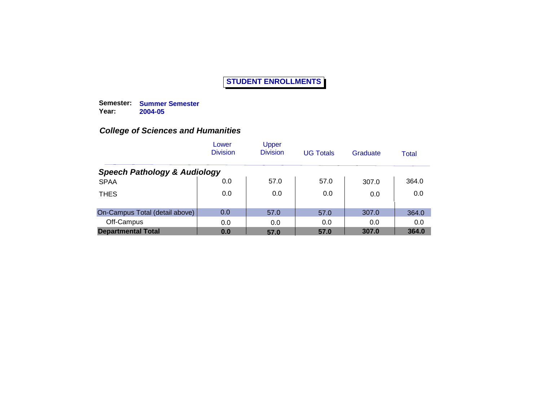**Semester: Summer Semester Year: 2004-05**

|                                         | Lower<br><b>Division</b> | Upper<br><b>Division</b> | <b>UG Totals</b> | Graduate | Total |
|-----------------------------------------|--------------------------|--------------------------|------------------|----------|-------|
| <b>Speech Pathology &amp; Audiology</b> |                          |                          |                  |          |       |
| <b>SPAA</b>                             | 0.0                      | 57.0                     | 57.0             | 307.0    | 364.0 |
| <b>THES</b>                             | 0.0                      | 0.0                      | 0.0              | 0.0      | 0.0   |
| On-Campus Total (detail above)          | 0.0                      | 57.0                     | 57.0             | 307.0    | 364.0 |
| Off-Campus                              | 0.0                      | 0.0                      | 0.0              | 0.0      | 0.0   |
| <b>Departmental Total</b>               | 0.0                      | 57.0                     | 57.0             | 307.0    | 364.0 |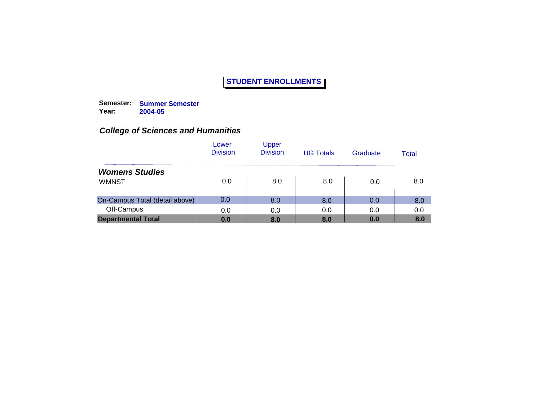**Semester: Summer Semester Year: 2004-05**

|                                | Lower<br><b>Division</b> | Upper<br><b>Division</b> | <b>UG Totals</b> | Graduate | Total |
|--------------------------------|--------------------------|--------------------------|------------------|----------|-------|
| <b>Womens Studies</b>          |                          |                          |                  |          |       |
| <b>WMNST</b>                   | 0.0                      | 8.0                      | 8.0              | 0.0      | 8.0   |
| On-Campus Total (detail above) | 0.0                      | 8.0                      | 8.0              | 0.0      | 8.0   |
| Off-Campus                     | 0.0                      | 0.0                      | 0.0              | 0.0      | 0.0   |
| <b>Departmental Total</b>      | 0.0                      | 8.0                      | 8.0              | 0.0      | 8.0   |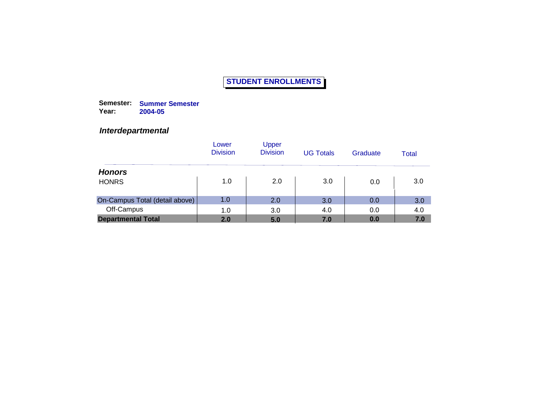**Semester: Summer Semester Year: 2004-05**

#### *Interdepartmental*

|                                | Lower<br><b>Division</b> | <b>Upper</b><br><b>Division</b> | <b>UG Totals</b> | Graduate | Total |
|--------------------------------|--------------------------|---------------------------------|------------------|----------|-------|
| <b>Honors</b>                  |                          |                                 |                  |          |       |
| <b>HONRS</b>                   | 1.0                      | 2.0                             | 3.0              | 0.0      | 3.0   |
| On-Campus Total (detail above) | 1.0                      | 2.0                             | 3.0              | 0.0      | 3.0   |
| Off-Campus                     | 1.0                      | 3.0                             | 4.0              | 0.0      | 4.0   |
| <b>Departmental Total</b>      | 2.0                      | 5.0                             | 7.0              | 0.0      | 7.0   |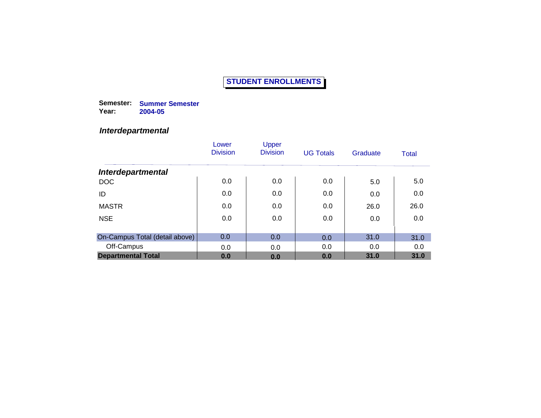**Semester: Summer Semester Year: 2004-05**

#### *Interdepartmental*

|                                | Lower<br><b>Division</b> | <b>Upper</b><br><b>Division</b> | <b>UG Totals</b> | Graduate | <b>Total</b> |
|--------------------------------|--------------------------|---------------------------------|------------------|----------|--------------|
| <b>Interdepartmental</b>       |                          |                                 |                  |          |              |
| <b>DOC</b>                     | 0.0                      | 0.0                             | 0.0              | 5.0      | 5.0          |
| ID                             | 0.0                      | 0.0                             | 0.0              | 0.0      | 0.0          |
| <b>MASTR</b>                   | 0.0                      | 0.0                             | 0.0              | 26.0     | 26.0         |
| <b>NSE</b>                     | 0.0                      | 0.0                             | 0.0              | 0.0      | 0.0          |
|                                |                          |                                 |                  |          |              |
| On-Campus Total (detail above) | 0.0                      | 0.0                             | 0.0              | 31.0     | 31.0         |
| Off-Campus                     | 0.0                      | 0.0                             | 0.0              | 0.0      | 0.0          |
| <b>Departmental Total</b>      | 0.0                      | 0.0                             | 0.0              | 31.0     | 31.0         |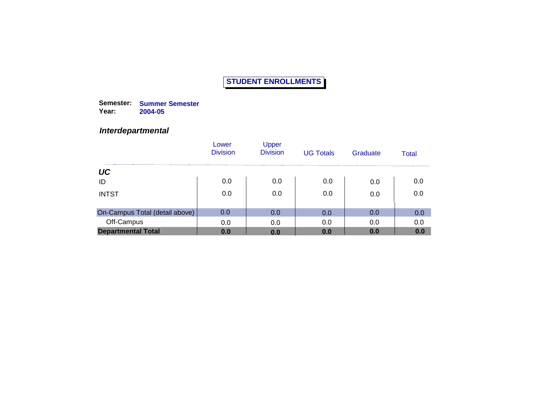**Semester: Summer Semester Year: 2004-05**

#### *Interdepartmental*

|                                | Lower<br><b>Division</b> | Upper<br><b>Division</b> | <b>UG Totals</b> | Graduate | Total |
|--------------------------------|--------------------------|--------------------------|------------------|----------|-------|
| UC                             |                          |                          |                  |          |       |
| ID                             | 0.0                      | 0.0                      | 0.0              | 0.0      | 0.0   |
| <b>INTST</b>                   | 0.0                      | 0.0                      | 0.0              | 0.0      | 0.0   |
| On-Campus Total (detail above) | 0.0                      | 0.0                      | 0.0              | 0.0      | 0.0   |
| Off-Campus                     | 0.0                      | 0.0                      | 0.0              | 0.0      | 0.0   |
| <b>Departmental Total</b>      | 0.0                      | 0.0                      | 0.0              | 0.0      | 0.0   |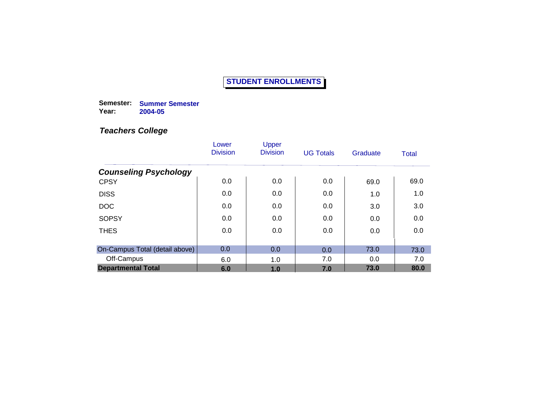**Semester: Summer Semester Year: 2004-05**

|                                | Lower<br><b>Division</b> | Upper<br><b>Division</b> | <b>UG Totals</b> | Graduate | Total |
|--------------------------------|--------------------------|--------------------------|------------------|----------|-------|
| <b>Counseling Psychology</b>   |                          |                          |                  |          |       |
| <b>CPSY</b>                    | 0.0                      | 0.0                      | 0.0              | 69.0     | 69.0  |
| <b>DISS</b>                    | 0.0                      | 0.0                      | 0.0              | 1.0      | 1.0   |
| <b>DOC</b>                     | 0.0                      | 0.0                      | 0.0              | 3.0      | 3.0   |
| <b>SOPSY</b>                   | 0.0                      | 0.0                      | 0.0              | 0.0      | 0.0   |
| <b>THES</b>                    | 0.0                      | 0.0                      | 0.0              | 0.0      | 0.0   |
|                                |                          |                          |                  |          |       |
| On-Campus Total (detail above) | 0.0                      | 0.0                      | 0.0              | 73.0     | 73.0  |
| Off-Campus                     | 6.0                      | 1.0                      | 7.0              | 0.0      | 7.0   |
| <b>Departmental Total</b>      | 6.0                      | 1.0                      | 7.0              | 73.0     | 80.0  |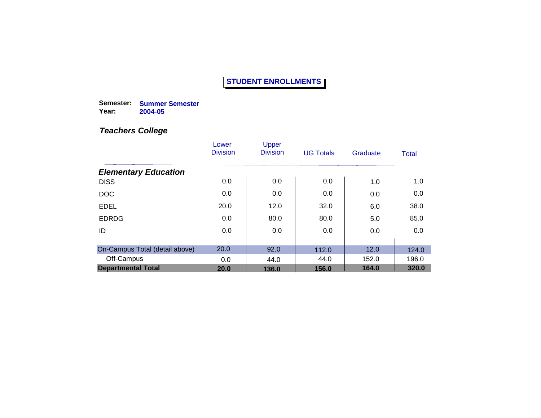**Semester: Summer Semester Year: 2004-05**

|                                | Lower<br><b>Division</b> | Upper<br><b>Division</b> | <b>UG Totals</b> | Graduate | Total |
|--------------------------------|--------------------------|--------------------------|------------------|----------|-------|
| <b>Elementary Education</b>    |                          |                          |                  |          |       |
| <b>DISS</b>                    | 0.0                      | 0.0                      | 0.0              | 1.0      | 1.0   |
| <b>DOC</b>                     | 0.0                      | 0.0                      | 0.0              | 0.0      | 0.0   |
| <b>EDEL</b>                    | 20.0                     | 12.0                     | 32.0             | 6.0      | 38.0  |
| <b>EDRDG</b>                   | 0.0                      | 80.0                     | 80.0             | 5.0      | 85.0  |
| ID                             | 0.0                      | 0.0                      | 0.0              | 0.0      | 0.0   |
|                                |                          |                          |                  |          |       |
| On-Campus Total (detail above) | 20.0                     | 92.0                     | 112.0            | 12.0     | 124.0 |
| Off-Campus                     | 0.0                      | 44.0                     | 44.0             | 152.0    | 196.0 |
| <b>Departmental Total</b>      | 20.0                     | 136.0                    | 156.0            | 164.0    | 320.0 |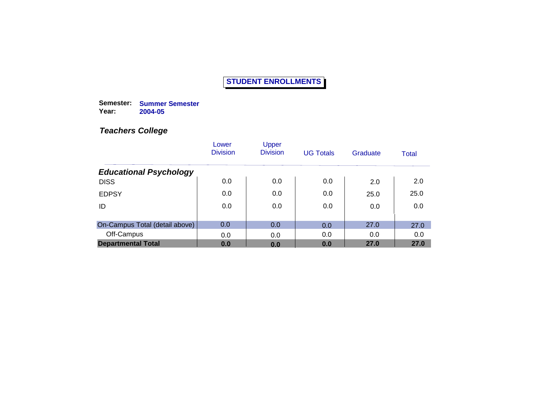**Semester: Summer Semester Year: 2004-05**

|                                | Lower<br><b>Division</b> | Upper<br><b>Division</b> | <b>UG Totals</b> | Graduate | Total |
|--------------------------------|--------------------------|--------------------------|------------------|----------|-------|
| <b>Educational Psychology</b>  |                          |                          |                  |          |       |
| <b>DISS</b>                    | 0.0                      | 0.0                      | 0.0              | 2.0      | 2.0   |
| <b>EDPSY</b>                   | 0.0                      | 0.0                      | 0.0              | 25.0     | 25.0  |
| ID                             | 0.0                      | 0.0                      | 0.0              | 0.0      | 0.0   |
| On-Campus Total (detail above) | 0.0                      | 0.0                      | 0.0              | 27.0     | 27.0  |
| Off-Campus                     | 0.0                      | 0.0                      | 0.0              | 0.0      | 0.0   |
| <b>Departmental Total</b>      | 0.0                      | 0.0                      | 0.0              | 27.0     | 27.0  |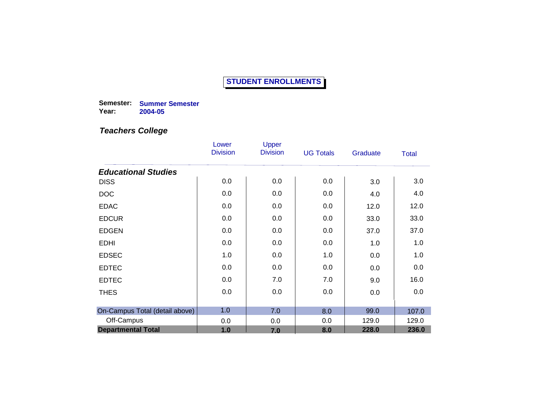**Semester: Summer Semester Year: 2004-05**

|                                           | Lower<br><b>Division</b> | Upper<br><b>Division</b> | <b>UG Totals</b> | Graduate | Total |
|-------------------------------------------|--------------------------|--------------------------|------------------|----------|-------|
|                                           |                          |                          |                  |          |       |
| <b>Educational Studies</b><br><b>DISS</b> | 0.0                      | 0.0                      | 0.0              | 3.0      | 3.0   |
| <b>DOC</b>                                | 0.0                      | 0.0                      | 0.0              | 4.0      | 4.0   |
| <b>EDAC</b>                               | 0.0                      | 0.0                      | 0.0              | 12.0     | 12.0  |
| <b>EDCUR</b>                              | 0.0                      | 0.0                      | 0.0              | 33.0     | 33.0  |
| <b>EDGEN</b>                              | 0.0                      | 0.0                      | 0.0              | 37.0     | 37.0  |
| <b>EDHI</b>                               | 0.0                      | 0.0                      | 0.0              | 1.0      | 1.0   |
| <b>EDSEC</b>                              | 1.0                      | 0.0                      | 1.0              | 0.0      | 1.0   |
| <b>EDTEC</b>                              | 0.0                      | 0.0                      | 0.0              | 0.0      | 0.0   |
| <b>EDTEC</b>                              | 0.0                      | 7.0                      | 7.0              | 9.0      | 16.0  |
| <b>THES</b>                               | 0.0                      | 0.0                      | 0.0              | 0.0      | 0.0   |
|                                           |                          |                          |                  |          |       |
| On-Campus Total (detail above)            | 1.0                      | 7.0                      | 8.0              | 99.0     | 107.0 |
| Off-Campus                                | 0.0                      | 0.0                      | 0.0              | 129.0    | 129.0 |
| <b>Departmental Total</b>                 | 1.0                      | 7.0                      | 8.0              | 228.0    | 236.0 |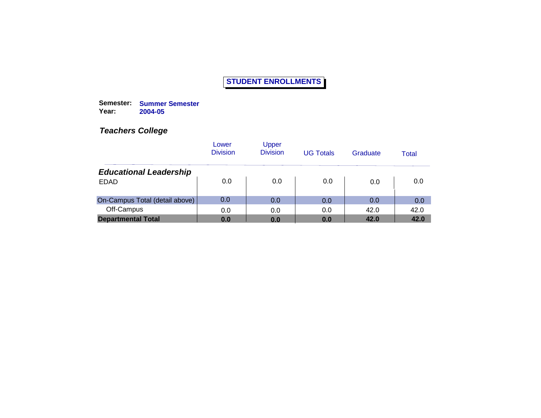**Semester: Summer Semester Year: 2004-05**

|                                | Lower<br><b>Division</b> | <b>Upper</b><br><b>Division</b> | <b>UG Totals</b> | Graduate | Total |
|--------------------------------|--------------------------|---------------------------------|------------------|----------|-------|
| <b>Educational Leadership</b>  |                          |                                 |                  |          |       |
| <b>EDAD</b>                    | 0.0                      | 0.0                             | 0.0              | 0.0      | 0.0   |
| On-Campus Total (detail above) | 0.0                      | 0.0                             | 0.0              | 0.0      | 0.0   |
| Off-Campus                     | 0.0                      | 0.0                             | 0.0              | 42.0     | 42.0  |
| <b>Departmental Total</b>      | 0.0                      | 0.0                             | 0.0              | 42.0     | 42.0  |